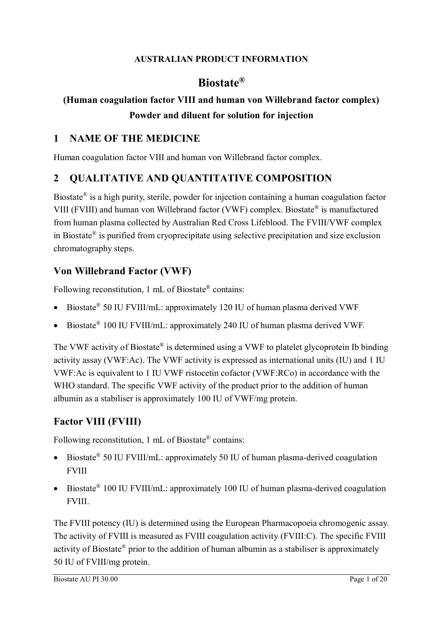### **AUSTRALIAN PRODUCT INFORMATION**

# **Biostate®**

# **(Human coagulation factor VIII and human von Willebrand factor complex) Powder and diluent for solution for injection**

## **1 NAME OF THE MEDICINE**

Human coagulation factor VIII and human von Willebrand factor complex.

## **2 QUALITATIVE AND QUANTITATIVE COMPOSITION**

Biostate® is a high purity, sterile, powder for injection containing a human coagulation factor VIII (FVIII) and human von Willebrand factor (VWF) complex. Biostate® is manufactured from human plasma collected by Australian Red Cross Lifeblood. The FVIII/VWF complex in Biostate® is purified from cryoprecipitate using selective precipitation and size exclusion chromatography steps.

# **Von Willebrand Factor (VWF)**

Following reconstitution, 1 mL of Biostate® contains:

- Biostate® 50 IU FVIII/mL: approximately 120 IU of human plasma derived VWF
- Biostate® 100 IU FVIII/mL: approximately 240 IU of human plasma derived VWF.

The VWF activity of Biostate® is determined using a VWF to platelet glycoprotein Ib binding activity assay (VWF:Ac). The VWF activity is expressed as international units (IU) and 1 IU VWF:Ac is equivalent to 1 IU VWF ristocetin cofactor (VWF:RCo) in accordance with the WHO standard. The specific VWF activity of the product prior to the addition of human albumin as a stabiliser is approximately 100 IU of VWF/mg protein.

# **Factor VIII (FVIII)**

Following reconstitution, 1 mL of Biostate® contains:

- Biostate® 50 IU FVIII/mL: approximately 50 IU of human plasma-derived coagulation FVIII
- Biostate® 100 IU FVIII/mL: approximately 100 IU of human plasma-derived coagulation FVIII.

The FVIII potency (IU) is determined using the European Pharmacopoeia chromogenic assay. The activity of FVIII is measured as FVIII coagulation activity (FVIII:C). The specific FVIII activity of Biostate® prior to the addition of human albumin as a stabiliser is approximately 50 IU of FVIII/mg protein.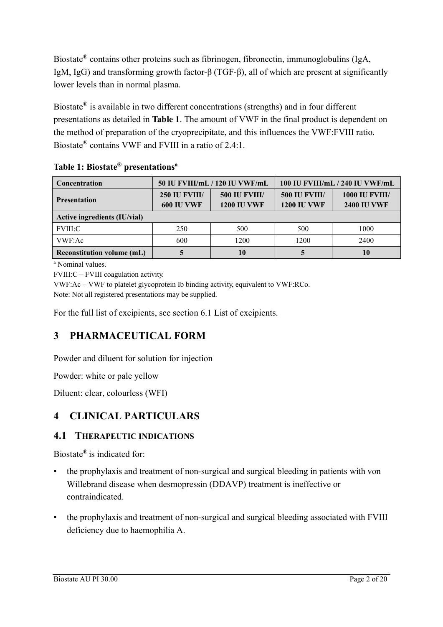Biostate® contains other proteins such as fibrinogen, fibronectin, immunoglobulins (IgA, IgM, IgG) and transforming growth factor-β (TGF-β), all of which are present at significantly lower levels than in normal plasma.

Biostate® is available in two different concentrations (strengths) and in four different presentations as detailed in **Table 1**. The amount of VWF in the final product is dependent on the method of preparation of the cryoprecipitate, and this influences the VWF:FVIII ratio. Biostate® contains VWF and FVIII in a ratio of 2.4:1.

| <b>Concentration</b>              |                                           | 50 IU FVIII/mL / 120 IU VWF/mL             | 100 IU FVIII/mL / 240 IU VWF/mL            |                                             |  |
|-----------------------------------|-------------------------------------------|--------------------------------------------|--------------------------------------------|---------------------------------------------|--|
| <b>Presentation</b>               | <b>250 IU FVIII/</b><br><b>600 IU VWF</b> | <b>500 IU FVIII/</b><br><b>1200 IU VWF</b> | <b>500 IU FVIII/</b><br><b>1200 IU VWF</b> | <b>1000 IU FVIII/</b><br><b>2400 IU VWF</b> |  |
| Active ingredients (IU/vial)      |                                           |                                            |                                            |                                             |  |
| <b>FVIII:C</b>                    | 250                                       | 500                                        | 500                                        | 1000                                        |  |
| VWF:Ac                            | 600                                       | 1200                                       | 1200                                       | 2400                                        |  |
| <b>Reconstitution volume (mL)</b> |                                           | 10                                         |                                            | 10                                          |  |

### **Table 1: Biostate® presentations<sup>a</sup>**

<sup>a</sup> Nominal values.

FVIII:C – FVIII coagulation activity.

VWF:Ac – VWF to platelet glycoprotein Ib binding activity, equivalent to VWF:RCo. Note: Not all registered presentations may be supplied.

For the full list of excipients, see section 6.1 List of excipients.

# **3 PHARMACEUTICAL FORM**

Powder and diluent for solution for injection

Powder: white or pale yellow

Diluent: clear, colourless (WFI)

## **4 CLINICAL PARTICULARS**

### **4.1 THERAPEUTIC INDICATIONS**

Biostate® is indicated for:

- the prophylaxis and treatment of non-surgical and surgical bleeding in patients with von Willebrand disease when desmopressin (DDAVP) treatment is ineffective or contraindicated.
- the prophylaxis and treatment of non-surgical and surgical bleeding associated with FVIII deficiency due to haemophilia A.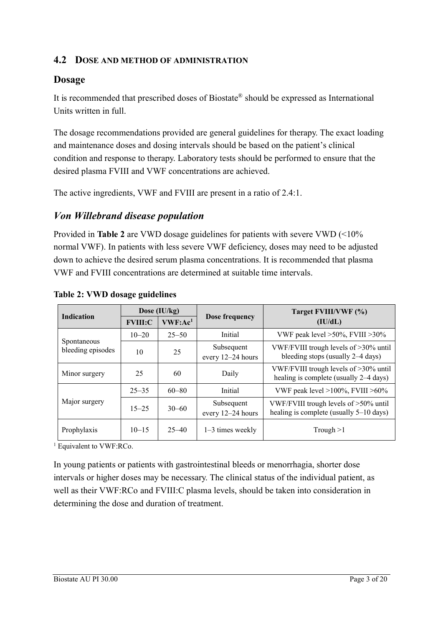### **4.2 DOSE AND METHOD OF ADMINISTRATION**

### **Dosage**

It is recommended that prescribed doses of Biostate® should be expressed as International Units written in full.

The dosage recommendations provided are general guidelines for therapy. The exact loading and maintenance doses and dosing intervals should be based on the patient's clinical condition and response to therapy. Laboratory tests should be performed to ensure that the desired plasma FVIII and VWF concentrations are achieved.

The active ingredients, VWF and FVIII are present in a ratio of 2.4:1.

### *Von Willebrand disease population*

Provided in **Table 2** are VWD dosage guidelines for patients with severe VWD (<10% normal VWF). In patients with less severe VWF deficiency, doses may need to be adjusted down to achieve the desired serum plasma concentrations. It is recommended that plasma VWF and FVIII concentrations are determined at suitable time intervals.

| <b>Indication</b>                | Dose (IU/kg)   |                     |                                 | Target FVIII/VWF (%)                                                             |  |  |
|----------------------------------|----------------|---------------------|---------------------------------|----------------------------------------------------------------------------------|--|--|
|                                  | <b>FVIII:C</b> | VWF:Ac <sup>1</sup> | Dose frequency                  | (IU/dL)                                                                          |  |  |
|                                  | $10 - 20$      | $25 - 50$           | Initial                         | VWF peak level $>50\%$ , FVIII $>30\%$                                           |  |  |
| Spontaneous<br>bleeding episodes | 10             | 25                  | Subsequent<br>every 12-24 hours | VWF/FVIII trough levels of >30% until<br>bleeding stops (usually 2–4 days)       |  |  |
| Minor surgery                    | 25             | 60                  | Daily                           | VWF/FVIII trough levels of >30% until<br>healing is complete (usually 2–4 days)  |  |  |
|                                  | $25 - 35$      | $60 - 80$           | Initial                         | VWF peak level $>100\%$ , FVIII $>60\%$                                          |  |  |
| Major surgery                    | $15 - 25$      | $30 - 60$           | Subsequent<br>every 12-24 hours | VWF/FVIII trough levels of >50% until<br>healing is complete (usually 5–10 days) |  |  |
| Prophylaxis                      | $10 - 15$      | $25 - 40$           | $1-3$ times weekly              | Trough $>1$                                                                      |  |  |

#### **Table 2: VWD dosage guidelines**

<sup>1</sup> Equivalent to VWF:RCo.

In young patients or patients with gastrointestinal bleeds or menorrhagia, shorter dose intervals or higher doses may be necessary. The clinical status of the individual patient, as well as their VWF:RCo and FVIII:C plasma levels, should be taken into consideration in determining the dose and duration of treatment.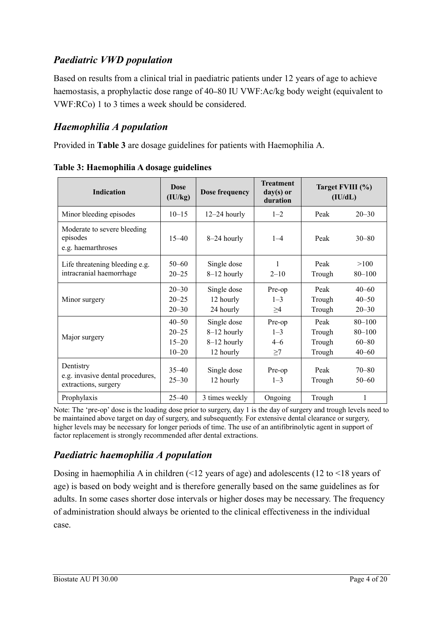## *Paediatric VWD population*

Based on results from a clinical trial in paediatric patients under 12 years of age to achieve haemostasis, a prophylactic dose range of 40**–**80 IU VWF:Ac/kg body weight (equivalent to VWF:RCo) 1 to 3 times a week should be considered.

## *Haemophilia A population*

Provided in **Table 3** are dosage guidelines for patients with Haemophilia A.

| <b>Indication</b>                                                     | <b>Dose</b><br>(IU/kg)                           | Dose frequency                                           | <b>Treatment</b><br>$day(s)$ or<br>duration |                                    | Target FVIII (%)<br>(IU/dL)                        |
|-----------------------------------------------------------------------|--------------------------------------------------|----------------------------------------------------------|---------------------------------------------|------------------------------------|----------------------------------------------------|
| Minor bleeding episodes                                               | $10 - 15$                                        | $12-24$ hourly                                           | $1 - 2$                                     | Peak                               | $20 - 30$                                          |
| Moderate to severe bleeding<br>episodes<br>e.g. haemarthroses         | $15 - 40$                                        | 8-24 hourly                                              | $1 - 4$                                     | Peak                               | $30 - 80$                                          |
| Life threatening bleeding e.g.<br>intracranial haemorrhage            | $50 - 60$<br>$20 - 25$                           | Single dose<br>$8-12$ hourly                             | $2 - 10$                                    | Peak<br>Trough                     | >100<br>$80 - 100$                                 |
| Minor surgery                                                         | $20 - 30$<br>$20 - 25$<br>$20 - 30$              | Single dose<br>12 hourly<br>24 hourly                    | Pre-op<br>$1 - 3$<br>>4                     | Peak<br>Trough<br>Trough           | $40 - 60$<br>$40 - 50$<br>$20 - 30$                |
| Major surgery                                                         | $40 - 50$<br>$20 - 25$<br>$15 - 20$<br>$10 - 20$ | Single dose<br>8-12 hourly<br>$8-12$ hourly<br>12 hourly | Pre-op<br>$1 - 3$<br>$4 - 6$<br>$\geq$ 7    | Peak<br>Trough<br>Trough<br>Trough | $80 - 100$<br>$80 - 100$<br>$60 - 80$<br>$40 - 60$ |
| Dentistry<br>e.g. invasive dental procedures,<br>extractions, surgery | $35 - 40$<br>$25 - 30$                           | Single dose<br>12 hourly                                 | Pre-op<br>$1 - 3$                           | Peak<br>Trough                     | $70 - 80$<br>$50 - 60$                             |
| Prophylaxis                                                           | $25 - 40$                                        | 3 times weekly                                           | Ongoing                                     | Trough                             | 1                                                  |

**Table 3: Haemophilia A dosage guidelines**

Note: The 'pre-op' dose is the loading dose prior to surgery, day 1 is the day of surgery and trough levels need to be maintained above target on day of surgery, and subsequently. For extensive dental clearance or surgery, higher levels may be necessary for longer periods of time. The use of an antifibrinolytic agent in support of factor replacement is strongly recommended after dental extractions.

## *Paediatric haemophilia A population*

Dosing in haemophilia A in children (<12 years of age) and adolescents (12 to <18 years of age) is based on body weight and is therefore generally based on the same guidelines as for adults. In some cases shorter dose intervals or higher doses may be necessary. The frequency of administration should always be oriented to the clinical effectiveness in the individual case.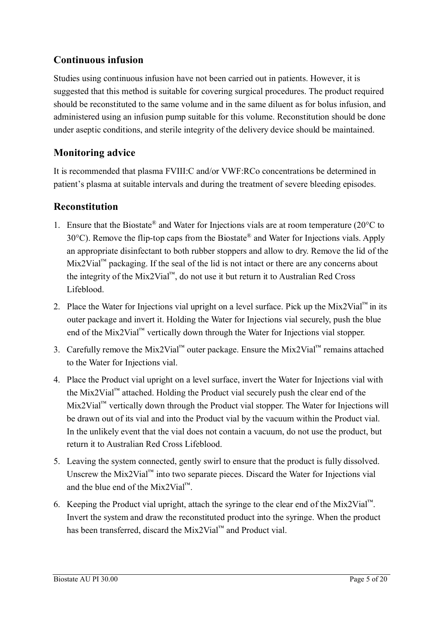## **Continuous infusion**

Studies using continuous infusion have not been carried out in patients. However, it is suggested that this method is suitable for covering surgical procedures. The product required should be reconstituted to the same volume and in the same diluent as for bolus infusion, and administered using an infusion pump suitable for this volume. Reconstitution should be done under aseptic conditions, and sterile integrity of the delivery device should be maintained.

## **Monitoring advice**

It is recommended that plasma FVIII:C and/or VWF:RCo concentrations be determined in patient's plasma at suitable intervals and during the treatment of severe bleeding episodes.

## **Reconstitution**

- 1. Ensure that the Biostate® and Water for Injections vials are at room temperature (20°C to 30 $^{\circ}$ C). Remove the flip-top caps from the Biostate<sup>®</sup> and Water for Injections vials. Apply an appropriate disinfectant to both rubber stoppers and allow to dry. Remove the lid of the Mix2Vial™ packaging. If the seal of the lid is not intact or there are any concerns about the integrity of the Mix2Vial™, do not use it but return it to Australian Red Cross Lifeblood.
- 2. Place the Water for Injections vial upright on a level surface. Pick up the Mix2Vial<sup>™</sup> in its outer package and invert it. Holding the Water for Injections vial securely, push the blue end of the Mix2Vial™ vertically down through the Water for Injections vial stopper.
- 3. Carefully remove the Mix2Vial<sup>™</sup> outer package. Ensure the Mix2Vial<sup>™</sup> remains attached to the Water for Injections vial.
- 4. Place the Product vial upright on a level surface, invert the Water for Injections vial with the Mix2Vial™ attached. Holding the Product vial securely push the clear end of the Mix2Vial™ vertically down through the Product vial stopper. The Water for Injections will be drawn out of its vial and into the Product vial by the vacuum within the Product vial. In the unlikely event that the vial does not contain a vacuum, do not use the product, but return it to Australian Red Cross Lifeblood.
- 5. Leaving the system connected, gently swirl to ensure that the product is fully dissolved. Unscrew the Mix2Vial<sup>™</sup> into two separate pieces. Discard the Water for Injections vial and the blue end of the Mix2Vial™.
- 6. Keeping the Product vial upright, attach the syringe to the clear end of the Mix2Vial<sup>™</sup>. Invert the system and draw the reconstituted product into the syringe. When the product has been transferred, discard the Mix2Vial™ and Product vial.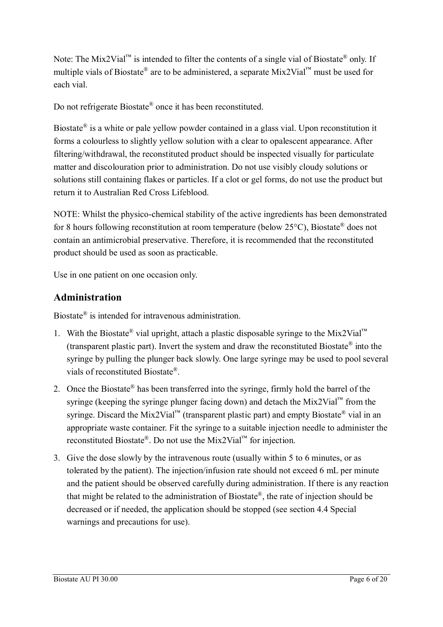Note: The Mix2Vial<sup>™</sup> is intended to filter the contents of a single vial of Biostate® only. If multiple vials of Biostate® are to be administered, a separate Mix2Vial™ must be used for each vial.

Do not refrigerate Biostate® once it has been reconstituted.

Biostate® is a white or pale yellow powder contained in a glass vial. Upon reconstitution it forms a colourless to slightly yellow solution with a clear to opalescent appearance. After filtering/withdrawal, the reconstituted product should be inspected visually for particulate matter and discolouration prior to administration. Do not use visibly cloudy solutions or solutions still containing flakes or particles. If a clot or gel forms, do not use the product but return it to Australian Red Cross Lifeblood.

NOTE: Whilst the physico-chemical stability of the active ingredients has been demonstrated for 8 hours following reconstitution at room temperature (below 25°C), Biostate® does not contain an antimicrobial preservative. Therefore, it is recommended that the reconstituted product should be used as soon as practicable.

Use in one patient on one occasion only.

## **Administration**

Biostate® is intended for intravenous administration.

- 1. With the Biostate® vial upright, attach a plastic disposable syringe to the Mix2Vial™ (transparent plastic part). Invert the system and draw the reconstituted Biostate® into the syringe by pulling the plunger back slowly. One large syringe may be used to pool several vials of reconstituted Biostate® .
- 2. Once the Biostate® has been transferred into the syringe, firmly hold the barrel of the syringe (keeping the syringe plunger facing down) and detach the Mix2Vial<sup>™</sup> from the syringe. Discard the Mix2Vial<sup>™</sup> (transparent plastic part) and empty Biostate® vial in an appropriate waste container. Fit the syringe to a suitable injection needle to administer the reconstituted Biostate®. Do not use the Mix2Vial<sup>™</sup> for injection.
- 3. Give the dose slowly by the intravenous route (usually within 5 to 6 minutes, or as tolerated by the patient). The injection/infusion rate should not exceed 6 mL per minute and the patient should be observed carefully during administration. If there is any reaction that might be related to the administration of Biostate® , the rate of injection should be decreased or if needed, the application should be stopped (see section 4.4 Special warnings and precautions for use).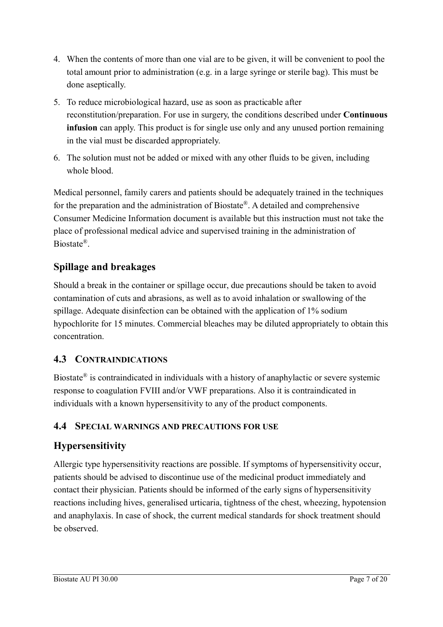- 4. When the contents of more than one vial are to be given, it will be convenient to pool the total amount prior to administration (e.g. in a large syringe or sterile bag). This must be done aseptically.
- 5. To reduce microbiological hazard, use as soon as practicable after reconstitution/preparation. For use in surgery, the conditions described under **Continuous infusion** can apply. This product is for single use only and any unused portion remaining in the vial must be discarded appropriately.
- 6. The solution must not be added or mixed with any other fluids to be given, including whole blood.

Medical personnel, family carers and patients should be adequately trained in the techniques for the preparation and the administration of Biostate® . A detailed and comprehensive Consumer Medicine Information document is available but this instruction must not take the place of professional medical advice and supervised training in the administration of Biostate® .

# **Spillage and breakages**

Should a break in the container or spillage occur, due precautions should be taken to avoid contamination of cuts and abrasions, as well as to avoid inhalation or swallowing of the spillage. Adequate disinfection can be obtained with the application of 1% sodium hypochlorite for 15 minutes. Commercial bleaches may be diluted appropriately to obtain this concentration.

## **4.3 CONTRAINDICATIONS**

Biostate<sup>®</sup> is contraindicated in individuals with a history of anaphylactic or severe systemic response to coagulation FVIII and/or VWF preparations. Also it is contraindicated in individuals with a known hypersensitivity to any of the product components.

### **4.4 SPECIAL WARNINGS AND PRECAUTIONS FOR USE**

## **Hypersensitivity**

Allergic type hypersensitivity reactions are possible. If symptoms of hypersensitivity occur, patients should be advised to discontinue use of the medicinal product immediately and contact their physician. Patients should be informed of the early signs of hypersensitivity reactions including hives, generalised urticaria, tightness of the chest, wheezing, hypotension and anaphylaxis. In case of shock, the current medical standards for shock treatment should be observed.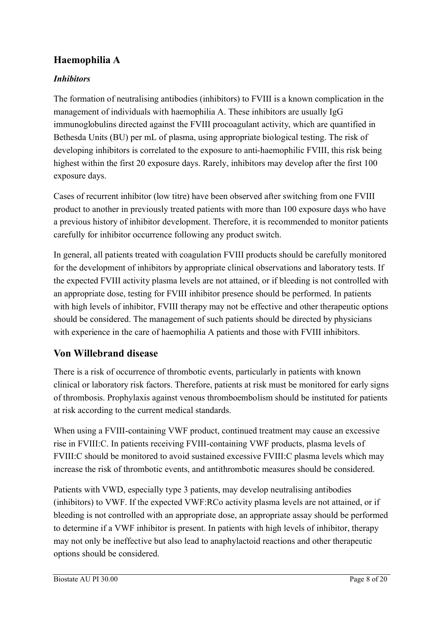# **Haemophilia A**

### *Inhibitors*

The formation of neutralising antibodies (inhibitors) to FVIII is a known complication in the management of individuals with haemophilia A. These inhibitors are usually IgG immunoglobulins directed against the FVIII procoagulant activity, which are quantified in Bethesda Units (BU) per mL of plasma, using appropriate biological testing. The risk of developing inhibitors is correlated to the exposure to anti-haemophilic FVIII, this risk being highest within the first 20 exposure days. Rarely, inhibitors may develop after the first 100 exposure days.

Cases of recurrent inhibitor (low titre) have been observed after switching from one FVIII product to another in previously treated patients with more than 100 exposure days who have a previous history of inhibitor development. Therefore, it is recommended to monitor patients carefully for inhibitor occurrence following any product switch.

In general, all patients treated with coagulation FVIII products should be carefully monitored for the development of inhibitors by appropriate clinical observations and laboratory tests. If the expected FVIII activity plasma levels are not attained, or if bleeding is not controlled with an appropriate dose, testing for FVIII inhibitor presence should be performed. In patients with high levels of inhibitor, FVIII therapy may not be effective and other therapeutic options should be considered. The management of such patients should be directed by physicians with experience in the care of haemophilia A patients and those with FVIII inhibitors.

## **Von Willebrand disease**

There is a risk of occurrence of thrombotic events, particularly in patients with known clinical or laboratory risk factors. Therefore, patients at risk must be monitored for early signs of thrombosis. Prophylaxis against venous thromboembolism should be instituted for patients at risk according to the current medical standards.

When using a FVIII-containing VWF product, continued treatment may cause an excessive rise in FVIII:C. In patients receiving FVIII-containing VWF products, plasma levels of FVIII:C should be monitored to avoid sustained excessive FVIII:C plasma levels which may increase the risk of thrombotic events, and antithrombotic measures should be considered.

Patients with VWD, especially type 3 patients, may develop neutralising antibodies (inhibitors) to VWF. If the expected VWF:RCo activity plasma levels are not attained, or if bleeding is not controlled with an appropriate dose, an appropriate assay should be performed to determine if a VWF inhibitor is present. In patients with high levels of inhibitor, therapy may not only be ineffective but also lead to anaphylactoid reactions and other therapeutic options should be considered.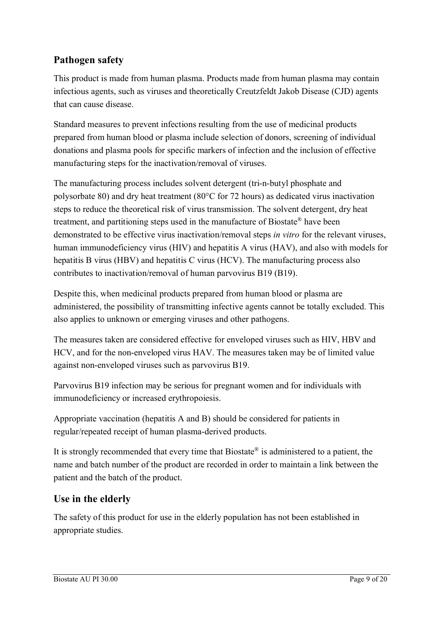# **Pathogen safety**

This product is made from human plasma. Products made from human plasma may contain infectious agents, such as viruses and theoretically Creutzfeldt Jakob Disease (CJD) agents that can cause disease.

Standard measures to prevent infections resulting from the use of medicinal products prepared from human blood or plasma include selection of donors, screening of individual donations and plasma pools for specific markers of infection and the inclusion of effective manufacturing steps for the inactivation/removal of viruses.

The manufacturing process includes solvent detergent (tri-n-butyl phosphate and polysorbate 80) and dry heat treatment (80°C for 72 hours) as dedicated virus inactivation steps to reduce the theoretical risk of virus transmission. The solvent detergent, dry heat treatment, and partitioning steps used in the manufacture of Biostate® have been demonstrated to be effective virus inactivation/removal steps *in vitro* for the relevant viruses, human immunodeficiency virus (HIV) and hepatitis A virus (HAV), and also with models for hepatitis B virus (HBV) and hepatitis C virus (HCV). The manufacturing process also contributes to inactivation/removal of human parvovirus B19 (B19).

Despite this, when medicinal products prepared from human blood or plasma are administered, the possibility of transmitting infective agents cannot be totally excluded. This also applies to unknown or emerging viruses and other pathogens.

The measures taken are considered effective for enveloped viruses such as HIV, HBV and HCV, and for the non-enveloped virus HAV. The measures taken may be of limited value against non-enveloped viruses such as parvovirus B19.

Parvovirus B19 infection may be serious for pregnant women and for individuals with immunodeficiency or increased erythropoiesis.

Appropriate vaccination (hepatitis A and B) should be considered for patients in regular/repeated receipt of human plasma-derived products.

It is strongly recommended that every time that Biostate $^{\circledR}$  is administered to a patient, the name and batch number of the product are recorded in order to maintain a link between the patient and the batch of the product.

## **Use in the elderly**

The safety of this product for use in the elderly population has not been established in appropriate studies.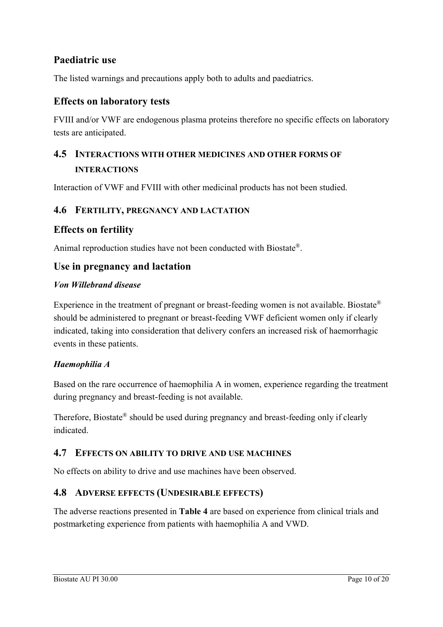## **Paediatric use**

The listed warnings and precautions apply both to adults and paediatrics.

### **Effects on laboratory tests**

FVIII and/or VWF are endogenous plasma proteins therefore no specific effects on laboratory tests are anticipated.

# **4.5 INTERACTIONS WITH OTHER MEDICINES AND OTHER FORMS OF INTERACTIONS**

Interaction of VWF and FVIII with other medicinal products has not been studied.

#### **4.6 FERTILITY, PREGNANCY AND LACTATION**

#### **Effects on fertility**

Animal reproduction studies have not been conducted with Biostate®.

#### **Use in pregnancy and lactation**

#### *Von Willebrand disease*

Experience in the treatment of pregnant or breast-feeding women is not available. Biostate® should be administered to pregnant or breast-feeding VWF deficient women only if clearly indicated, taking into consideration that delivery confers an increased risk of haemorrhagic events in these patients.

#### *Haemophilia A*

Based on the rare occurrence of haemophilia A in women, experience regarding the treatment during pregnancy and breast-feeding is not available.

Therefore, Biostate® should be used during pregnancy and breast-feeding only if clearly indicated.

#### **4.7 EFFECTS ON ABILITY TO DRIVE AND USE MACHINES**

No effects on ability to drive and use machines have been observed.

#### **4.8 ADVERSE EFFECTS (UNDESIRABLE EFFECTS)**

The adverse reactions presented in **Table 4** are based on experience from clinical trials and postmarketing experience from patients with haemophilia A and VWD.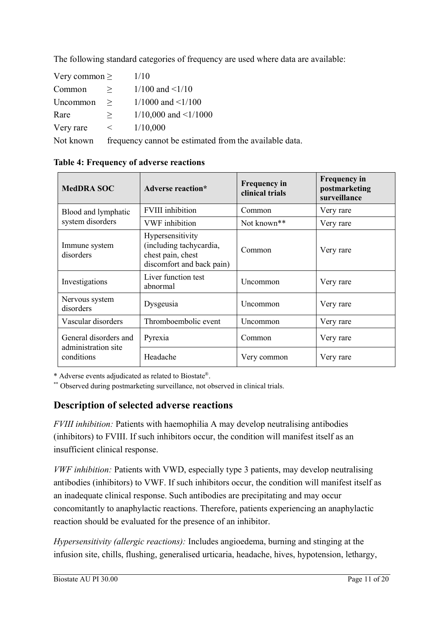The following standard categories of frequency are used where data are available:

| Very common $\geq$                |                                    | 1/10                                                 |
|-----------------------------------|------------------------------------|------------------------------------------------------|
| Common                            | $>$ $>$ $\sim$                     | $1/100$ and $\leq 1/10$                              |
|                                   |                                    | Uncommon $\geq$ 1/1000 and <1/100                    |
| Rare                              | $>$ $>$ $\sim$                     | $1/10,000$ and $\leq 1/1000$                         |
| Very rare                         | $\sim$ $\sim$ $\sim$ $\sim$ $\sim$ | 1/10,000                                             |
| $N_{\alpha t}$ $l_{\alpha\alpha}$ |                                    | froquency connot be estimated from the evoluted date |

Not known frequency cannot be estimated from the available data.

| <b>MedDRA SOC</b><br>Adverse reaction*       |                                                                                               | <b>Frequency in</b><br>clinical trials | <b>Frequency in</b><br>postmarketing<br>surveillance |  |
|----------------------------------------------|-----------------------------------------------------------------------------------------------|----------------------------------------|------------------------------------------------------|--|
| Blood and lymphatic                          | <b>FVIII</b> inhibition                                                                       | Common                                 | Very rare                                            |  |
| system disorders                             | <b>VWF</b> inhibition                                                                         | Not known <sup>**</sup>                | Very rare                                            |  |
| Immune system<br>disorders                   | Hypersensitivity<br>(including tachycardia,<br>chest pain, chest<br>discomfort and back pain) | Common                                 | Very rare                                            |  |
| Investigations                               | Liver function test<br>abnormal                                                               | Uncommon                               | Very rare                                            |  |
| Nervous system<br>disorders                  | Dysgeusia                                                                                     | Uncommon                               | Very rare                                            |  |
| Vascular disorders                           | Thromboembolic event                                                                          | Uncommon                               | Very rare                                            |  |
| General disorders and<br>administration site | Pyrexia                                                                                       | Common                                 | Very rare                                            |  |
| conditions                                   | Headache                                                                                      | Very common                            | Very rare                                            |  |

**Table 4: Frequency of adverse reactions**

\* Adverse events adjudicated as related to Biostate®.

\*\* Observed during postmarketing surveillance, not observed in clinical trials.

## **Description of selected adverse reactions**

*FVIII inhibition:* Patients with haemophilia A may develop neutralising antibodies (inhibitors) to FVIII. If such inhibitors occur, the condition will manifest itself as an insufficient clinical response.

*VWF inhibition:* Patients with VWD, especially type 3 patients, may develop neutralising antibodies (inhibitors) to VWF. If such inhibitors occur, the condition will manifest itself as an inadequate clinical response. Such antibodies are precipitating and may occur concomitantly to anaphylactic reactions. Therefore, patients experiencing an anaphylactic reaction should be evaluated for the presence of an inhibitor.

*Hypersensitivity (allergic reactions):* Includes angioedema, burning and stinging at the infusion site, chills, flushing, generalised urticaria, headache, hives, hypotension, lethargy,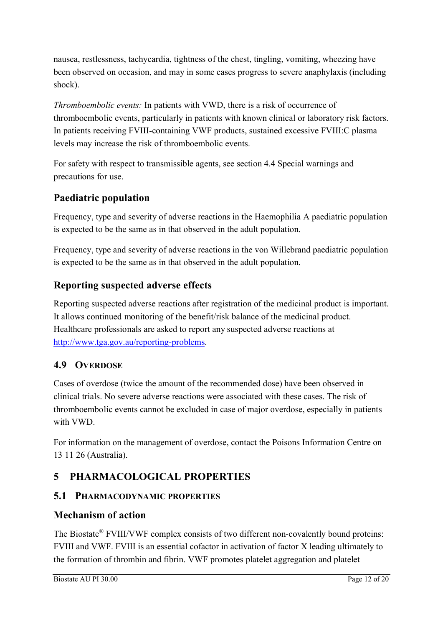nausea, restlessness, tachycardia, tightness of the chest, tingling, vomiting, wheezing have been observed on occasion, and may in some cases progress to severe anaphylaxis (including shock).

*Thromboembolic events:* In patients with VWD, there is a risk of occurrence of thromboembolic events, particularly in patients with known clinical or laboratory risk factors. In patients receiving FVIII-containing VWF products, sustained excessive FVIII:C plasma levels may increase the risk of thromboembolic events.

For safety with respect to transmissible agents, see section 4.4 Special warnings and precautions for use.

# **Paediatric population**

Frequency, type and severity of adverse reactions in the Haemophilia A paediatric population is expected to be the same as in that observed in the adult population.

Frequency, type and severity of adverse reactions in the von Willebrand paediatric population is expected to be the same as in that observed in the adult population.

# **Reporting suspected adverse effects**

Reporting suspected adverse reactions after registration of the medicinal product is important. It allows continued monitoring of the benefit/risk balance of the medicinal product. Healthcare professionals are asked to report any suspected adverse reactions at [http://www.tga.gov.au/reporting-problems.](http://www.tga.gov.au/reporting-problems)

## **4.9 OVERDOSE**

Cases of overdose (twice the amount of the recommended dose) have been observed in clinical trials. No severe adverse reactions were associated with these cases. The risk of thromboembolic events cannot be excluded in case of major overdose, especially in patients with VWD.

For information on the management of overdose, contact the Poisons Information Centre on 13 11 26 (Australia).

# **5 PHARMACOLOGICAL PROPERTIES**

### **5.1 PHARMACODYNAMIC PROPERTIES**

### **Mechanism of action**

The Biostate® FVIII/VWF complex consists of two different non-covalently bound proteins: FVIII and VWF. FVIII is an essential cofactor in activation of factor X leading ultimately to the formation of thrombin and fibrin. VWF promotes platelet aggregation and platelet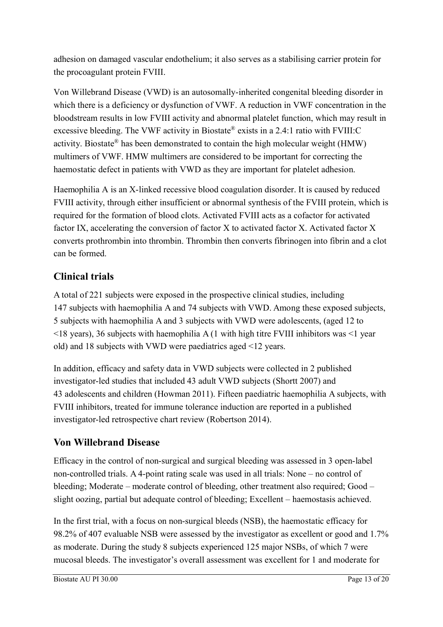adhesion on damaged vascular endothelium; it also serves as a stabilising carrier protein for the procoagulant protein FVIII.

Von Willebrand Disease (VWD) is an autosomally-inherited congenital bleeding disorder in which there is a deficiency or dysfunction of VWF. A reduction in VWF concentration in the bloodstream results in low FVIII activity and abnormal platelet function, which may result in excessive bleeding. The VWF activity in Biostate® exists in a 2.4:1 ratio with FVIII:C activity. Biostate® has been demonstrated to contain the high molecular weight (HMW) multimers of VWF. HMW multimers are considered to be important for correcting the haemostatic defect in patients with VWD as they are important for platelet adhesion.

Haemophilia A is an X-linked recessive blood coagulation disorder. It is caused by reduced FVIII activity, through either insufficient or abnormal synthesis of the FVIII protein, which is required for the formation of blood clots. Activated FVIII acts as a cofactor for activated factor IX, accelerating the conversion of factor X to activated factor X. Activated factor X converts prothrombin into thrombin. Thrombin then converts fibrinogen into fibrin and a clot can be formed.

# **Clinical trials**

A total of 221 subjects were exposed in the prospective clinical studies, including 147 subjects with haemophilia A and 74 subjects with VWD. Among these exposed subjects, 5 subjects with haemophilia A and 3 subjects with VWD were adolescents, (aged 12 to  $\le$ 18 years), 36 subjects with haemophilia A (1 with high titre FVIII inhibitors was  $\le$ 1 year old) and 18 subjects with VWD were paediatrics aged <12 years.

In addition, efficacy and safety data in VWD subjects were collected in 2 published investigator-led studies that included 43 adult VWD subjects (Shortt 2007) and 43 adolescents and children (Howman 2011). Fifteen paediatric haemophilia A subjects, with FVIII inhibitors, treated for immune tolerance induction are reported in a published investigator-led retrospective chart review (Robertson 2014).

# **Von Willebrand Disease**

Efficacy in the control of non-surgical and surgical bleeding was assessed in 3 open-label non-controlled trials. A 4-point rating scale was used in all trials: None – no control of bleeding; Moderate – moderate control of bleeding, other treatment also required; Good – slight oozing, partial but adequate control of bleeding; Excellent – haemostasis achieved.

In the first trial, with a focus on non-surgical bleeds (NSB), the haemostatic efficacy for 98.2% of 407 evaluable NSB were assessed by the investigator as excellent or good and 1.7% as moderate. During the study 8 subjects experienced 125 major NSBs, of which 7 were mucosal bleeds. The investigator's overall assessment was excellent for 1 and moderate for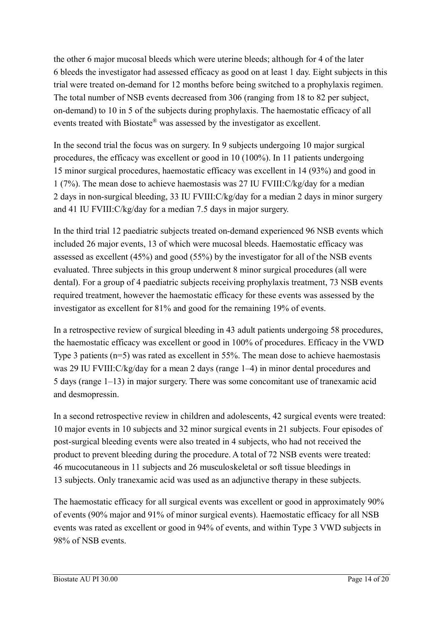the other 6 major mucosal bleeds which were uterine bleeds; although for 4 of the later 6 bleeds the investigator had assessed efficacy as good on at least 1 day. Eight subjects in this trial were treated on-demand for 12 months before being switched to a prophylaxis regimen. The total number of NSB events decreased from 306 (ranging from 18 to 82 per subject, on-demand) to 10 in 5 of the subjects during prophylaxis. The haemostatic efficacy of all events treated with Biostate® was assessed by the investigator as excellent.

In the second trial the focus was on surgery. In 9 subjects undergoing 10 major surgical procedures, the efficacy was excellent or good in 10 (100%). In 11 patients undergoing 15 minor surgical procedures, haemostatic efficacy was excellent in 14 (93%) and good in 1 (7%). The mean dose to achieve haemostasis was 27 IU FVIII:C/kg/day for a median 2 days in non-surgical bleeding, 33 IU FVIII:C/kg/day for a median 2 days in minor surgery and 41 IU FVIII:C/kg/day for a median 7.5 days in major surgery.

In the third trial 12 paediatric subjects treated on-demand experienced 96 NSB events which included 26 major events, 13 of which were mucosal bleeds. Haemostatic efficacy was assessed as excellent (45%) and good (55%) by the investigator for all of the NSB events evaluated. Three subjects in this group underwent 8 minor surgical procedures (all were dental). For a group of 4 paediatric subjects receiving prophylaxis treatment, 73 NSB events required treatment, however the haemostatic efficacy for these events was assessed by the investigator as excellent for 81% and good for the remaining 19% of events.

In a retrospective review of surgical bleeding in 43 adult patients undergoing 58 procedures, the haemostatic efficacy was excellent or good in 100% of procedures. Efficacy in the VWD Type 3 patients (n=5) was rated as excellent in 55%. The mean dose to achieve haemostasis was 29 IU FVIII:C/kg/day for a mean 2 days (range 1–4) in minor dental procedures and 5 days (range 1–13) in major surgery. There was some concomitant use of tranexamic acid and desmopressin.

In a second retrospective review in children and adolescents, 42 surgical events were treated: 10 major events in 10 subjects and 32 minor surgical events in 21 subjects. Four episodes of post-surgical bleeding events were also treated in 4 subjects, who had not received the product to prevent bleeding during the procedure. A total of 72 NSB events were treated: 46 mucocutaneous in 11 subjects and 26 musculoskeletal or soft tissue bleedings in 13 subjects. Only tranexamic acid was used as an adjunctive therapy in these subjects.

The haemostatic efficacy for all surgical events was excellent or good in approximately 90% of events (90% major and 91% of minor surgical events). Haemostatic efficacy for all NSB events was rated as excellent or good in 94% of events, and within Type 3 VWD subjects in 98% of NSB events.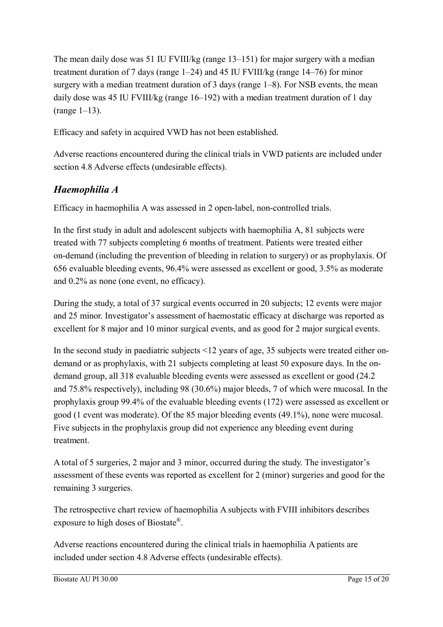The mean daily dose was 51 IU FVIII/kg (range 13–151) for major surgery with a median treatment duration of 7 days (range 1–24) and 45 IU FVIII/kg (range 14–76) for minor surgery with a median treatment duration of 3 days (range 1–8). For NSB events, the mean daily dose was 45 IU FVIII/kg (range 16–192) with a median treatment duration of 1 day (range 1–13).

Efficacy and safety in acquired VWD has not been established.

Adverse reactions encountered during the clinical trials in VWD patients are included under section 4.8 Adverse effects (undesirable effects).

# *Haemophilia A*

Efficacy in haemophilia A was assessed in 2 open-label, non-controlled trials.

In the first study in adult and adolescent subjects with haemophilia A, 81 subjects were treated with 77 subjects completing 6 months of treatment. Patients were treated either on-demand (including the prevention of bleeding in relation to surgery) or as prophylaxis. Of 656 evaluable bleeding events, 96.4% were assessed as excellent or good, 3.5% as moderate and 0.2% as none (one event, no efficacy).

During the study, a total of 37 surgical events occurred in 20 subjects; 12 events were major and 25 minor. Investigator's assessment of haemostatic efficacy at discharge was reported as excellent for 8 major and 10 minor surgical events, and as good for 2 major surgical events.

In the second study in paediatric subjects <12 years of age, 35 subjects were treated either ondemand or as prophylaxis, with 21 subjects completing at least 50 exposure days. In the ondemand group, all 318 evaluable bleeding events were assessed as excellent or good (24.2 and 75.8% respectively), including 98 (30.6%) major bleeds, 7 of which were mucosal. In the prophylaxis group 99.4% of the evaluable bleeding events (172) were assessed as excellent or good (1 event was moderate). Of the 85 major bleeding events (49.1%), none were mucosal. Five subjects in the prophylaxis group did not experience any bleeding event during treatment.

A total of 5 surgeries, 2 major and 3 minor, occurred during the study. The investigator's assessment of these events was reported as excellent for 2 (minor) surgeries and good for the remaining 3 surgeries.

The retrospective chart review of haemophilia A subjects with FVIII inhibitors describes exposure to high doses of Biostate® .

Adverse reactions encountered during the clinical trials in haemophilia A patients are included under section 4.8 Adverse effects (undesirable effects).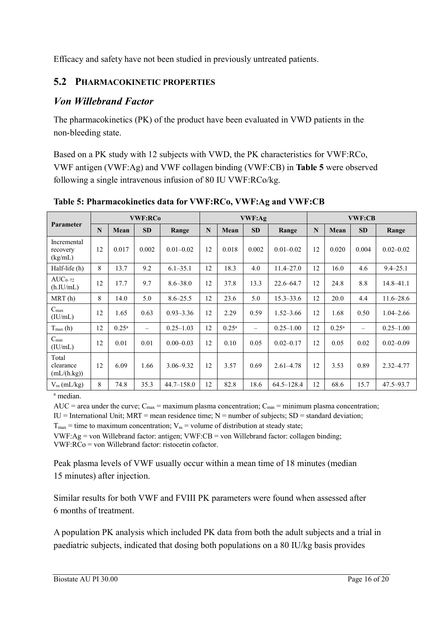Efficacy and safety have not been studied in previously untreated patients.

## **5.2 PHARMACOKINETIC PROPERTIES**

## *Von Willebrand Factor*

The pharmacokinetics (PK) of the product have been evaluated in VWD patients in the non-bleeding state.

Based on a PK study with 12 subjects with VWD, the PK characteristics for VWF:RCo, VWF antigen (VWF:Ag) and VWF collagen binding (VWF:CB) in **Table 5** were observed following a single intravenous infusion of 80 IU VWF:RCo/kg.

|                                    | <b>VWF:RCo</b> |                |                          | VWF:Ag         |             |                |           | <b>VWF:CB</b>  |    |                |           |               |
|------------------------------------|----------------|----------------|--------------------------|----------------|-------------|----------------|-----------|----------------|----|----------------|-----------|---------------|
| <b>Parameter</b>                   | N              | Mean           | <b>SD</b>                | Range          | $\mathbf N$ | Mean           | <b>SD</b> | Range          | N  | Mean           | <b>SD</b> | Range         |
| Incremental<br>recovery<br>(kg/mL) | 12             | 0.017          | 0.002                    | $0.01 - 0.02$  | 12          | 0.018          | 0.002     | $0.01 - 0.02$  | 12 | 0.020          | 0.004     | $0.02 - 0.02$ |
| Half-life (h)                      | 8              | 13.7           | 9.2                      | $6.1 - 35.1$   | 12          | 18.3           | 4.0       | $11.4 - 27.0$  | 12 | 16.0           | 4.6       | $9.4 - 25.1$  |
| $AUC_{0-72}$<br>(h.IU/mL)          | 12             | 17.7           | 9.7                      | $8.6 - 38.0$   | 12          | 37.8           | 13.3      | $22.6 - 64.7$  | 12 | 24.8           | 8.8       | $14.8 - 41.1$ |
| MRT(h)                             | 8              | 14.0           | 5.0                      | $8.6 - 25.5$   | 12          | 23.6           | 5.0       | $15.3 - 33.6$  | 12 | 20.0           | 4.4       | $11.6 - 28.6$ |
| $C_{\text{max}}$<br>(IU/mL)        | 12             | 1.65           | 0.63                     | $0.93 - 3.36$  | 12          | 2.29           | 0.59      | $1.52 - 3.66$  | 12 | 1.68           | 0.50      | $1.04 - 2.66$ |
| $T_{\text{max}}$ (h)               | 12             | $0.25^{\rm a}$ | $\overline{\phantom{0}}$ | $0.25 - 1.03$  | 12          | $0.25^{\rm a}$ | —         | $0.25 - 1.00$  | 12 | $0.25^{\rm a}$ | $\equiv$  | $0.25 - 1.00$ |
| $C_{\min}$<br>(IU/mL)              | 12             | 0.01           | 0.01                     | $0.00 - 0.03$  | 12          | 0.10           | 0.05      | $0.02 - 0.17$  | 12 | 0.05           | 0.02      | $0.02 - 0.09$ |
| Total<br>clearance<br>(mL/(h.kg))  | 12             | 6.09           | 1.66                     | $3.06 - 9.32$  | 12          | 3.57           | 0.69      | $2.61 - 4.78$  | 12 | 3.53           | 0.89      | $2.32 - 4.77$ |
| $V_{ss}$ (mL/kg)                   | 8              | 74.8           | 35.3                     | $44.7 - 158.0$ | 12          | 82.8           | 18.6      | $64.5 - 128.4$ | 12 | 68.6           | 15.7      | $47.5 - 93.7$ |

**Table 5: Pharmacokinetics data for VWF:RCo, VWF:Ag and VWF:CB**

<sup>a</sup> median.

AUC = area under the curve;  $C_{\text{max}}$  = maximum plasma concentration;  $C_{\text{min}}$  = minimum plasma concentration;

 $IU = International Unit; MRT = mean residence time; N = number of subjects; SD = standard deviation;$  $T_{\text{max}}$  = time to maximum concentration;  $V_{\text{ss}}$  = volume of distribution at steady state;

VWF: $Ag = von$  Willebrand factor: antigen; VWF: $CB = von$  Willebrand factor: collagen binding; VWF:RCo = von Willebrand factor: ristocetin cofactor.

Peak plasma levels of VWF usually occur within a mean time of 18 minutes (median 15 minutes) after injection.

Similar results for both VWF and FVIII PK parameters were found when assessed after 6 months of treatment.

A population PK analysis which included PK data from both the adult subjects and a trial in paediatric subjects, indicated that dosing both populations on a 80 IU/kg basis provides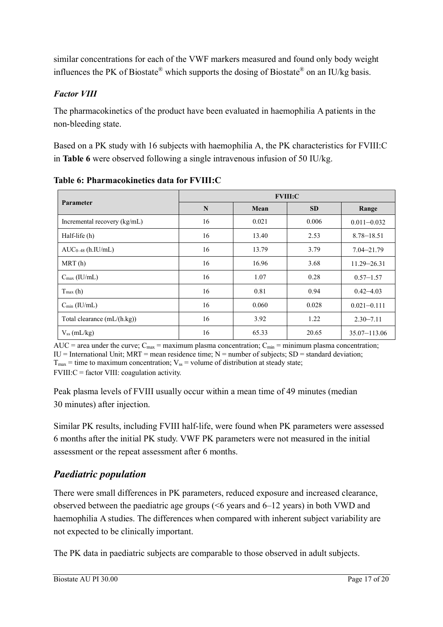similar concentrations for each of the VWF markers measured and found only body weight influences the PK of Biostate® which supports the dosing of Biostate® on an IU/kg basis.

### *Factor VIII*

The pharmacokinetics of the product have been evaluated in haemophilia A patients in the non-bleeding state.

Based on a PK study with 16 subjects with haemophilia A, the PK characteristics for FVIII:C in **Table 6** were observed following a single intravenous infusion of 50 IU/kg.

|                                | <b>FVIII:C</b> |       |           |                  |  |  |  |  |
|--------------------------------|----------------|-------|-----------|------------------|--|--|--|--|
| Parameter                      | N              | Mean  | <b>SD</b> | Range            |  |  |  |  |
| Incremental recovery $(kg/mL)$ | 16             | 0.021 | 0.006     | $0.011 - 0.032$  |  |  |  |  |
| Half-life (h)                  | 16             | 13.40 | 2.53      | $8.78 - 18.51$   |  |  |  |  |
| $AUC_{0-48}$ (h.IU/mL)         | 16             | 13.79 | 3.79      | $7.04 - 21.79$   |  |  |  |  |
| MRT(h)                         | 16             | 16.96 | 3.68      | 11.29-26.31      |  |  |  |  |
| $C_{\text{max}}$ (IU/mL)       | 16             | 1.07  | 0.28      | $0.57 - 1.57$    |  |  |  |  |
| $T_{\text{max}}$ (h)           | 16             | 0.81  | 0.94      | $0.42 - 4.03$    |  |  |  |  |
| $C_{\text{min}}$ (IU/mL)       | 16             | 0.060 | 0.028     | $0.021 - 0.111$  |  |  |  |  |
| Total clearance $(mL/h.kg)$    | 16             | 3.92  | 1.22      | $2.30 - 7.11$    |  |  |  |  |
| $V_{ss}$ (mL/kg)               | 16             | 65.33 | 20.65     | $35.07 - 113.06$ |  |  |  |  |

**Table 6: Pharmacokinetics data for FVIII:C**

AUC = area under the curve;  $C_{max}$  = maximum plasma concentration;  $C_{min}$  = minimum plasma concentration;  $IU = International Unit; MRT = mean residence time; N = number of subjects; SD = standard deviation;$  $T_{\text{max}}$  = time to maximum concentration;  $V_{\text{ss}}$  = volume of distribution at steady state;

 $FVIII:C = factor VIII: coagulation activity.$ 

Peak plasma levels of FVIII usually occur within a mean time of 49 minutes (median 30 minutes) after injection.

Similar PK results, including FVIII half-life, were found when PK parameters were assessed 6 months after the initial PK study. VWF PK parameters were not measured in the initial assessment or the repeat assessment after 6 months.

# *Paediatric population*

There were small differences in PK parameters, reduced exposure and increased clearance, observed between the paediatric age groups (<6 years and 6–12 years) in both VWD and haemophilia A studies. The differences when compared with inherent subject variability are not expected to be clinically important.

The PK data in paediatric subjects are comparable to those observed in adult subjects.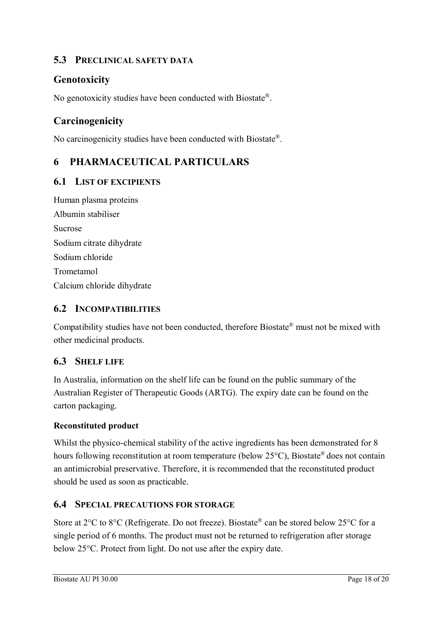### **5.3 PRECLINICAL SAFETY DATA**

### **Genotoxicity**

No genotoxicity studies have been conducted with Biostate®.

## **Carcinogenicity**

No carcinogenicity studies have been conducted with Biostate®.

# **6 PHARMACEUTICAL PARTICULARS**

#### **6.1 LIST OF EXCIPIENTS**

Human plasma proteins Albumin stabiliser Sucrose Sodium citrate dihydrate Sodium chloride Trometamol Calcium chloride dihydrate

### **6.2 INCOMPATIBILITIES**

Compatibility studies have not been conducted, therefore Biostate® must not be mixed with other medicinal products.

### **6.3 SHELF LIFE**

In Australia, information on the shelf life can be found on the public summary of the Australian Register of Therapeutic Goods (ARTG). The expiry date can be found on the carton packaging.

#### **Reconstituted product**

Whilst the physico-chemical stability of the active ingredients has been demonstrated for 8 hours following reconstitution at room temperature (below 25°C), Biostate® does not contain an antimicrobial preservative. Therefore, it is recommended that the reconstituted product should be used as soon as practicable.

#### **6.4 SPECIAL PRECAUTIONS FOR STORAGE**

Store at  $2^{\circ}$ C to  $8^{\circ}$ C (Refrigerate. Do not freeze). Biostate<sup>®</sup> can be stored below  $25^{\circ}$ C for a single period of 6 months. The product must not be returned to refrigeration after storage below 25°C. Protect from light. Do not use after the expiry date.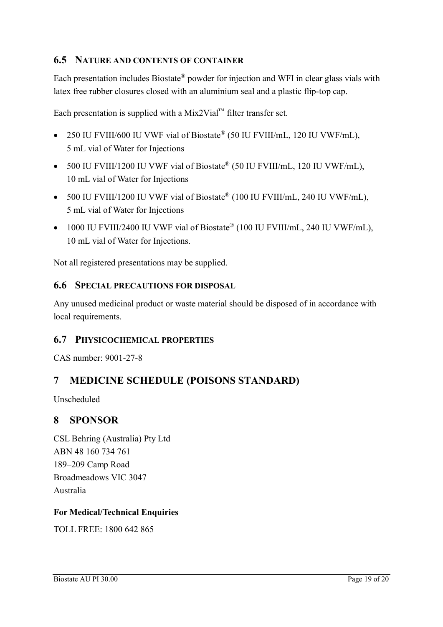### **6.5 NATURE AND CONTENTS OF CONTAINER**

Each presentation includes Biostate® powder for injection and WFI in clear glass vials with latex free rubber closures closed with an aluminium seal and a plastic flip-top cap.

Each presentation is supplied with a Mix2Vial<sup>™</sup> filter transfer set.

- 250 IU FVIII/600 IU VWF vial of Biostate® (50 IU FVIII/mL, 120 IU VWF/mL), 5 mL vial of Water for Injections
- 500 IU FVIII/1200 IU VWF vial of Biostate® (50 IU FVIII/mL, 120 IU VWF/mL), 10 mL vial of Water for Injections
- 500 IU FVIII/1200 IU VWF vial of Biostate® (100 IU FVIII/mL, 240 IU VWF/mL), 5 mL vial of Water for Injections
- $\bullet$  1000 IU FVIII/2400 IU VWF vial of Biostate® (100 IU FVIII/mL, 240 IU VWF/mL), 10 mL vial of Water for Injections.

Not all registered presentations may be supplied.

#### **6.6 SPECIAL PRECAUTIONS FOR DISPOSAL**

Any unused medicinal product or waste material should be disposed of in accordance with local requirements.

#### **6.7 PHYSICOCHEMICAL PROPERTIES**

CAS number: 9001-27-8

## **7 MEDICINE SCHEDULE (POISONS STANDARD)**

Unscheduled

## **8 SPONSOR**

CSL Behring (Australia) Pty Ltd ABN 48 160 734 761 189–209 Camp Road Broadmeadows VIC 3047 Australia

#### **For Medical/Technical Enquiries**

TOLL FREE: 1800 642 865